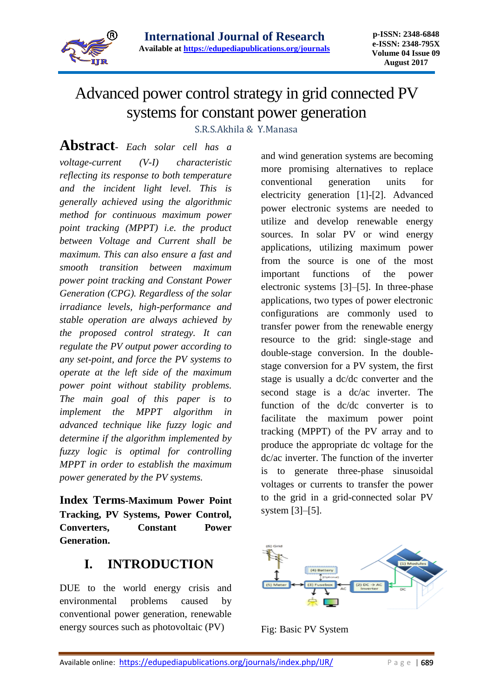

# Advanced power control strategy in grid connected PV systems for constant power generation

S.R.S.Akhila & Y.Manasa

**Abstract**- *Each solar cell has a voltage-current (V-I) characteristic reflecting its response to both temperature and the incident light level. This is generally achieved using the algorithmic method for continuous maximum power point tracking (MPPT) i.e. the product between Voltage and Current shall be maximum. This can also ensure a fast and smooth transition between maximum power point tracking and Constant Power Generation (CPG). Regardless of the solar irradiance levels, high-performance and stable operation are always achieved by the proposed control strategy. It can regulate the PV output power according to any set-point, and force the PV systems to operate at the left side of the maximum power point without stability problems. The main goal of this paper is to implement the MPPT algorithm in advanced technique like fuzzy logic and determine if the algorithm implemented by fuzzy logic is optimal for controlling MPPT in order to establish the maximum power generated by the PV systems.* 

**Index Terms-Maximum Power Point Tracking, PV Systems, Power Control, Converters, Constant Power Generation.**

## **I. INTRODUCTION**

DUE to the world energy crisis and environmental problems caused by conventional power generation, renewable energy sources such as photovoltaic (PV)

and wind generation systems are becoming more promising alternatives to replace conventional generation units for electricity generation [1]-[2]. Advanced power electronic systems are needed to utilize and develop renewable energy sources. In solar PV or wind energy applications, utilizing maximum power from the source is one of the most important functions of the power electronic systems [3]–[5]. In three-phase applications, two types of power electronic configurations are commonly used to transfer power from the renewable energy resource to the grid: single-stage and double-stage conversion. In the doublestage conversion for a PV system, the first stage is usually a dc/dc converter and the second stage is a dc/ac inverter. The function of the dc/dc converter is to facilitate the maximum power point tracking (MPPT) of the PV array and to produce the appropriate dc voltage for the dc/ac inverter. The function of the inverter is to generate three-phase sinusoidal voltages or currents to transfer the power to the grid in a grid-connected solar PV system [3]–[5].



Fig: Basic PV System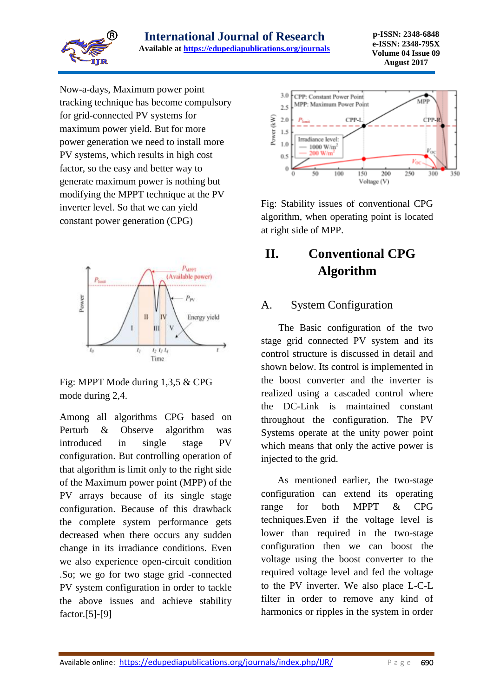

Now-a-days, Maximum power point tracking technique has become compulsory for grid-connected PV systems for maximum power yield. But for more power generation we need to install more PV systems, which results in high cost factor, so the easy and better way to generate maximum power is nothing but modifying the MPPT technique at the PV inverter level. So that we can yield constant power generation (CPG)



Fig: MPPT Mode during 1,3,5 & CPG mode during 2,4.

Among all algorithms CPG based on Perturb & Observe algorithm was introduced in single stage PV configuration. But controlling operation of that algorithm is limit only to the right side of the Maximum power point (MPP) of the PV arrays because of its single stage configuration. Because of this drawback the complete system performance gets decreased when there occurs any sudden change in its irradiance conditions. Even we also experience open-circuit condition .So; we go for two stage grid -connected PV system configuration in order to tackle the above issues and achieve stability factor.[5]-[9]



Fig: Stability issues of conventional CPG algorithm, when operating point is located at right side of MPP.

## **II. Conventional CPG Algorithm**

### A. System Configuration

 The Basic configuration of the two stage grid connected PV system and its control structure is discussed in detail and shown below. Its control is implemented in the boost converter and the inverter is realized using a cascaded control where the DC-Link is maintained constant throughout the configuration. The PV Systems operate at the unity power point which means that only the active power is injected to the grid.

 As mentioned earlier, the two-stage configuration can extend its operating range for both MPPT & CPG techniques.Even if the voltage level is lower than required in the two-stage configuration then we can boost the voltage using the boost converter to the required voltage level and fed the voltage to the PV inverter. We also place L-C-L filter in order to remove any kind of harmonics or ripples in the system in order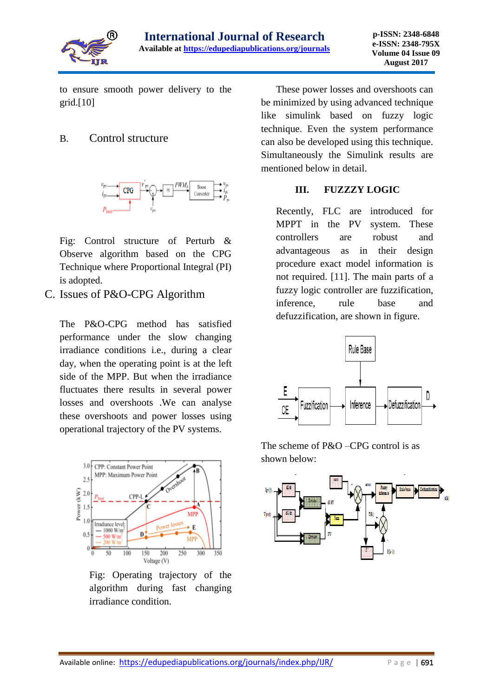

to ensure smooth power delivery to the grid.[10]

#### B. Control structure



Fig: Control structure of Perturb & Observe algorithm based on the CPG Technique where Proportional Integral (PI) is adopted.

C. Issues of P&O-CPG Algorithm

The P&O-CPG method has satisfied performance under the slow changing irradiance conditions i.e., during a clear day, when the operating point is at the left side of the MPP. But when the irradiance fluctuates there results in several power losses and overshoots .We can analyse these overshoots and power losses using operational trajectory of the PV systems.



Fig: Operating trajectory of the algorithm during fast changing irradiance condition.

 These power losses and overshoots can be minimized by using advanced technique like simulink based on fuzzy logic technique. Even the system performance can also be developed using this technique. Simultaneously the Simulink results are mentioned below in detail.

#### **III. FUZZZY LOGIC**

Recently, FLC are introduced for MPPT in the PV system. These controllers are robust and advantageous as in their design procedure exact model information is not required. [11]. The main parts of a fuzzy logic controller are fuzzification, inference, rule base and defuzzification, are shown in figure.



The scheme of P&O –CPG control is as shown below:

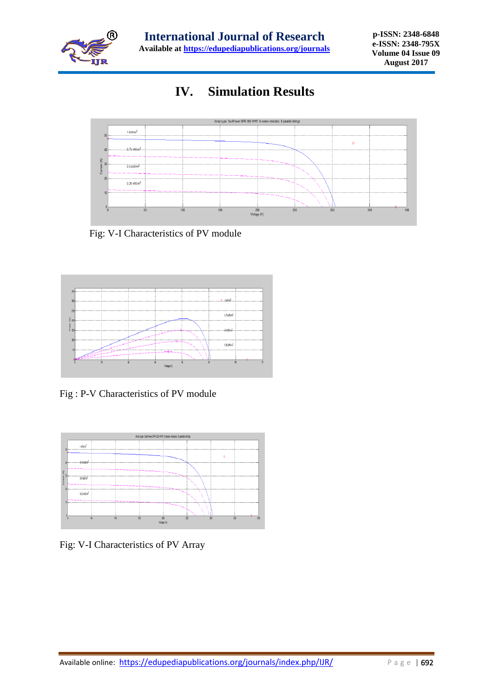

## **IV. Simulation Results**



Fig: V-I Characteristics of PV module



Fig : P-V Characteristics of PV module



Fig: V-I Characteristics of PV Array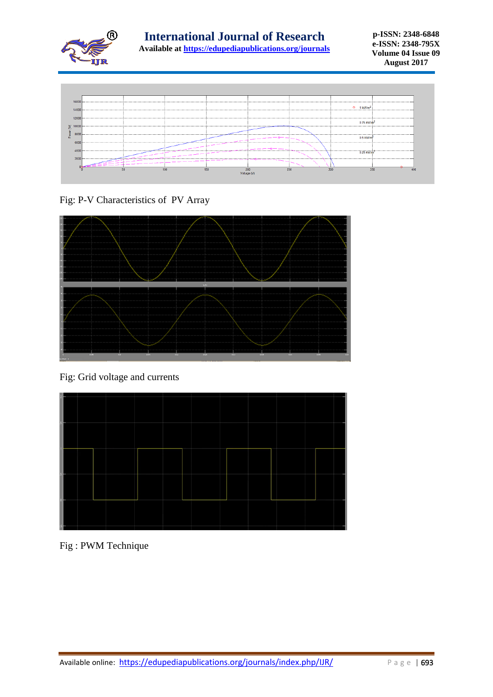



Fig: P-V Characteristics of PV Array



Fig: Grid voltage and currents



Fig : PWM Technique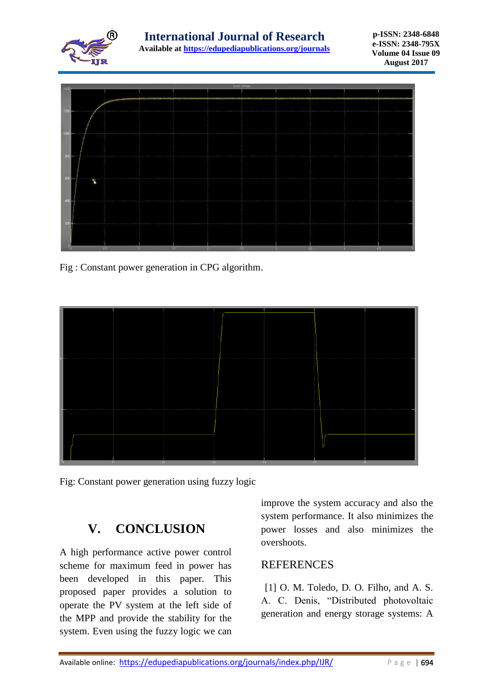



Fig : Constant power generation in CPG algorithm.



Fig: Constant power generation using fuzzy logic

## **V. CONCLUSION**

A high performance active power control scheme for maximum feed in power has been developed in this paper. This proposed paper provides a solution to operate the PV system at the left side of the MPP and provide the stability for the system. Even using the fuzzy logic we can improve the system accuracy and also the system performance. It also minimizes the power losses and also minimizes the overshoots.

#### **REFERENCES**

[1] O. M. Toledo, D. O. Filho, and A. S. A. C. Denis, "Distributed photovoltaic generation and energy storage systems: A